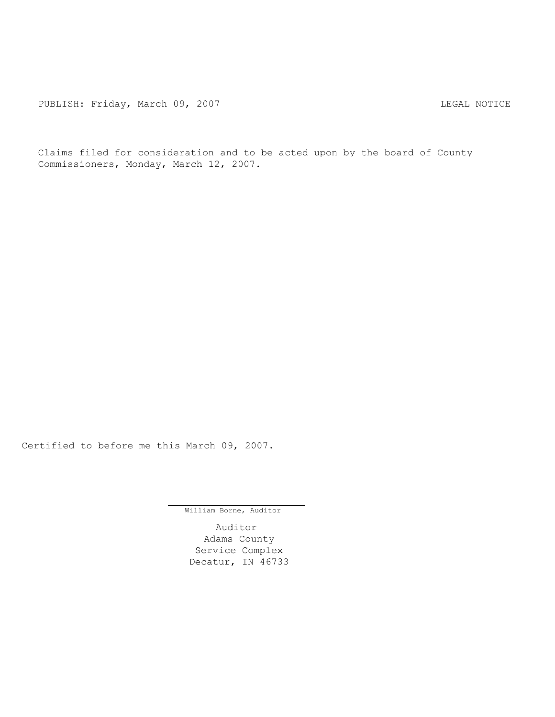Claims filed for consideration and to be acted upon by the board of County Commissioners, Monday, March 12, 2007.

Certified to before me this March 09, 2007.

William Borne, Auditor

Auditor Adams County Service Complex Decatur, IN 46733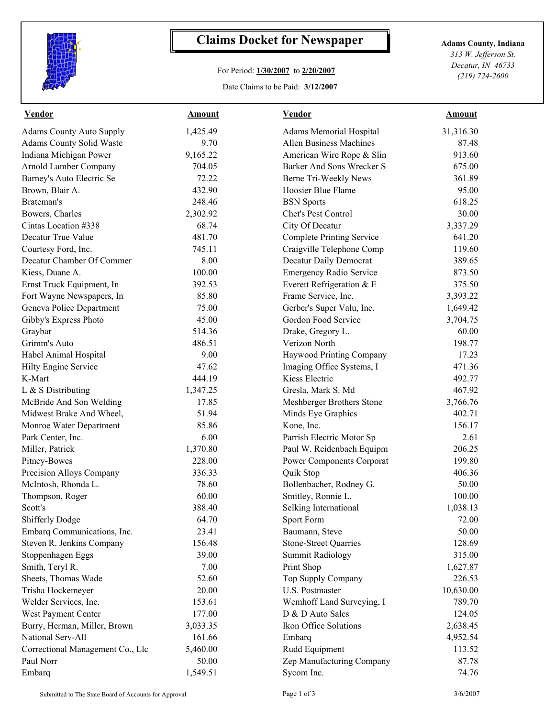

## **Claims Docket for Newspaper Adams County, Indiana**

## For Period: **1/30/2007** to **2/20/2007**

Date Claims to be Paid: **3/12/2007**

*313 W. Jefferson St. Decatur, IN 46733 (219) 724-2600*

| <b>Vendor</b>                    | <b>Amount</b> | <b>Vendor</b>                    | <b>Amount</b> |  |
|----------------------------------|---------------|----------------------------------|---------------|--|
| <b>Adams County Auto Supply</b>  | 1,425.49      | Adams Memorial Hospital          | 31,316.30     |  |
| Adams County Solid Waste         | 9.70          | <b>Allen Business Machines</b>   | 87.48         |  |
| Indiana Michigan Power           | 9,165.22      | American Wire Rope & Slin        | 913.60        |  |
| Arnold Lumber Company            | 704.05        | Barker And Sons Wrecker S        | 675.00        |  |
| Barney's Auto Electric Se        | 72.22         | Berne Tri-Weekly News            | 361.89        |  |
| Brown, Blair A.                  | 432.90        | Hoosier Blue Flame               | 95.00         |  |
| Brateman's                       | 248.46        | <b>BSN</b> Sports                | 618.25        |  |
| Bowers, Charles                  | 2,302.92      | Chet's Pest Control              | 30.00         |  |
| Cintas Location #338             | 68.74         | City Of Decatur                  | 3,337.29      |  |
| Decatur True Value               | 481.70        | <b>Complete Printing Service</b> | 641.20        |  |
| Courtesy Ford, Inc.              | 745.11        | Craigville Telephone Comp        | 119.60        |  |
| Decatur Chamber Of Commer        | 8.00          | Decatur Daily Democrat           | 389.65        |  |
| Kiess, Duane A.                  | 100.00        | <b>Emergency Radio Service</b>   | 873.50        |  |
| Ernst Truck Equipment, In        | 392.53        | Everett Refrigeration & E        | 375.50        |  |
| Fort Wayne Newspapers, In        | 85.80         | Frame Service, Inc.              | 3,393.22      |  |
| Geneva Police Department         | 75.00         | Gerber's Super Valu, Inc.        | 1,649.42      |  |
| Gibby's Express Photo            | 45.00         | Gordon Food Service              | 3,704.75      |  |
| Graybar                          | 514.36        | Drake, Gregory L.                | 60.00         |  |
| Grimm's Auto                     | 486.51        | Verizon North                    | 198.77        |  |
| Habel Animal Hospital            | 9.00          | Haywood Printing Company         | 17.23         |  |
| Hilty Engine Service             | 47.62         | Imaging Office Systems, I        | 471.36        |  |
| K-Mart                           | 444.19        | Kiess Electric                   | 492.77        |  |
| L & S Distributing               | 1,347.25      | Gresla, Mark S. Md               | 467.92        |  |
| McBride And Son Welding          | 17.85         | Meshberger Brothers Stone        | 3,766.76      |  |
| Midwest Brake And Wheel,         | 51.94         | Minds Eye Graphics               | 402.71        |  |
| Monroe Water Department          | 85.86         | Kone, Inc.                       | 156.17        |  |
| Park Center, Inc.                | 6.00          | Parrish Electric Motor Sp        | 2.61          |  |
| Miller, Patrick                  | 1,370.80      | Paul W. Reidenbach Equipm        | 206.25        |  |
| Pitney-Bowes                     | 228.00        | <b>Power Components Corporat</b> | 199.80        |  |
| Precision Alloys Company         | 336.33        | Quik Stop                        | 406.36        |  |
| McIntosh, Rhonda L.              | 78.60         | Bollenbacher, Rodney G.          | 50.00         |  |
| Thompson, Roger                  | 60.00         | Smitley, Ronnie L.               | 100.00        |  |
| Scott's                          | 388.40        | Selking International            | 1,038.13      |  |
| <b>Shifferly Dodge</b>           | 64.70         | Sport Form                       | 72.00         |  |
| Embarq Communications, Inc.      | 23.41         | Baumann, Steve                   | 50.00         |  |
| Steven R. Jenkins Company        | 156.48        | <b>Stone-Street Quarries</b>     | 128.69        |  |
| Stoppenhagen Eggs                | 39.00         | <b>Summit Radiology</b>          | 315.00        |  |
| Smith, Teryl R.                  | 7.00          | Print Shop                       | 1,627.87      |  |
| Sheets, Thomas Wade              | 52.60         | Top Supply Company               | 226.53        |  |
| Trisha Hockemeyer                | 20.00         | U.S. Postmaster                  | 10,630.00     |  |
| Welder Services, Inc.            | 153.61        | Wemhoff Land Surveying, I        | 789.70        |  |
| West Payment Center              | 177.00        | D & D Auto Sales                 | 124.05        |  |
| Burry, Herman, Miller, Brown     | 3,033.35      | Ikon Office Solutions            | 2,638.45      |  |
| National Serv-All                | 161.66        | Embarq                           | 4,952.54      |  |
| Correctional Management Co., Llc | 5,460.00      | Rudd Equipment                   | 113.52        |  |
| Paul Norr                        | 50.00         | Zep Manufacturing Company        | 87.78         |  |
| Embarq                           | 1,549.51      | Sycom Inc.                       | 74.76         |  |
|                                  |               |                                  |               |  |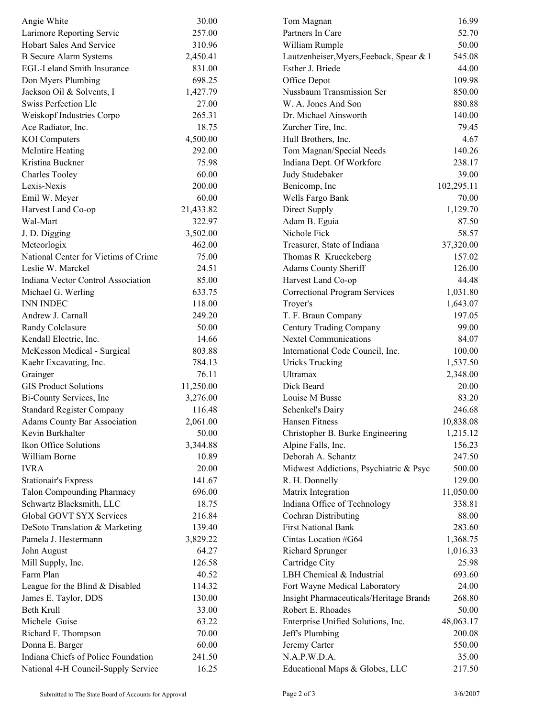| Angie White                          | 30.00     | Tom Magnan                               | 16.99      |  |
|--------------------------------------|-----------|------------------------------------------|------------|--|
| Larimore Reporting Servic            | 257.00    | Partners In Care                         | 52.70      |  |
| <b>Hobart Sales And Service</b>      | 310.96    | William Rumple                           | 50.00      |  |
| <b>B</b> Secure Alarm Systems        | 2,450.41  | Lautzenheiser, Myers, Feeback, Spear & 1 | 545.08     |  |
| <b>EGL-Leland Smith Insurance</b>    | 831.00    | Esther J. Briede                         | 44.00      |  |
| Don Myers Plumbing                   | 698.25    | Office Depot                             | 109.98     |  |
| Jackson Oil & Solvents, I            | 1,427.79  | Nussbaum Transmission Ser                | 850.00     |  |
| Swiss Perfection Llc                 | 27.00     | W. A. Jones And Son                      | 880.88     |  |
| Weiskopf Industries Corpo            | 265.31    | Dr. Michael Ainsworth                    | 140.00     |  |
| Ace Radiator, Inc.                   | 18.75     | Zurcher Tire, Inc.                       | 79.45      |  |
| <b>KOI</b> Computers                 | 4,500.00  | Hull Brothers, Inc.                      | 4.67       |  |
| <b>McIntire Heating</b>              | 292.00    | Tom Magnan/Special Needs                 | 140.26     |  |
| Kristina Buckner                     | 75.98     | Indiana Dept. Of Workforc                | 238.17     |  |
| <b>Charles Tooley</b>                | 60.00     | Judy Studebaker                          | 39.00      |  |
| Lexis-Nexis                          | 200.00    | Benicomp, Inc                            | 102,295.11 |  |
|                                      | 60.00     |                                          | 70.00      |  |
| Emil W. Meyer                        |           | Wells Fargo Bank                         |            |  |
| Harvest Land Co-op                   | 21,433.82 | Direct Supply                            | 1,129.70   |  |
| Wal-Mart                             | 322.97    | Adam B. Eguia                            | 87.50      |  |
| J. D. Digging                        | 3,502.00  | Nichole Fick                             | 58.57      |  |
| Meteorlogix                          | 462.00    | Treasurer, State of Indiana              | 37,320.00  |  |
| National Center for Victims of Crime | 75.00     | Thomas R Krueckeberg                     | 157.02     |  |
| Leslie W. Marckel                    | 24.51     | Adams County Sheriff                     | 126.00     |  |
| Indiana Vector Control Association   | 85.00     | Harvest Land Co-op                       | 44.48      |  |
| Michael G. Werling                   | 633.75    | Correctional Program Services            | 1,031.80   |  |
| <b>INN INDEC</b>                     | 118.00    | Troyer's                                 | 1,643.07   |  |
| Andrew J. Carnall                    | 249.20    | T. F. Braun Company                      | 197.05     |  |
| Randy Colclasure                     | 50.00     | Century Trading Company                  | 99.00      |  |
| Kendall Electric, Inc.               | 14.66     | <b>Nextel Communications</b>             | 84.07      |  |
| McKesson Medical - Surgical          | 803.88    | International Code Council, Inc.         | 100.00     |  |
| Kaehr Excavating, Inc.               | 784.13    | <b>Uricks Trucking</b>                   | 1,537.50   |  |
| Grainger                             | 76.11     | Ultramax                                 | 2,348.00   |  |
| <b>GIS Product Solutions</b>         | 11,250.00 | Dick Beard                               | 20.00      |  |
| Bi-County Services, Inc              | 3,276.00  | Louise M Busse                           | 83.20      |  |
| <b>Standard Register Company</b>     | 116.48    | Schenkel's Dairy                         | 246.68     |  |
| <b>Adams County Bar Association</b>  | 2,061.00  | Hansen Fitness                           | 10,838.08  |  |
| Kevin Burkhalter                     | 50.00     | Christopher B. Burke Engineering         | 1,215.12   |  |
| Ikon Office Solutions                | 3,344.88  | Alpine Falls, Inc.                       | 156.23     |  |
| William Borne                        | 10.89     | Deborah A. Schantz                       | 247.50     |  |
| <b>IVRA</b>                          | 20.00     | Midwest Addictions, Psychiatric & Psyc   | 500.00     |  |
| <b>Stationair's Express</b>          | 141.67    | R. H. Donnelly                           | 129.00     |  |
| <b>Talon Compounding Pharmacy</b>    | 696.00    | Matrix Integration                       | 11,050.00  |  |
| Schwartz Blacksmith, LLC             | 18.75     | Indiana Office of Technology             | 338.81     |  |
| Global GOVT SYX Services             | 216.84    | Cochran Distributing                     | 88.00      |  |
| DeSoto Translation & Marketing       | 139.40    | <b>First National Bank</b>               | 283.60     |  |
| Pamela J. Hestermann                 | 3,829.22  | Cintas Location #G64                     | 1,368.75   |  |
| John August                          | 64.27     | Richard Sprunger                         | 1,016.33   |  |
| Mill Supply, Inc.                    | 126.58    | Cartridge City                           | 25.98      |  |
| Farm Plan                            | 40.52     | LBH Chemical & Industrial                | 693.60     |  |
| League for the Blind & Disabled      | 114.32    | Fort Wayne Medical Laboratory            | 24.00      |  |
|                                      |           |                                          |            |  |
| James E. Taylor, DDS                 | 130.00    | Insight Pharmaceuticals/Heritage Brands  | 268.80     |  |
| <b>Beth Krull</b>                    | 33.00     | Robert E. Rhoades                        | 50.00      |  |
| Michele Guise                        | 63.22     | Enterprise Unified Solutions, Inc.       | 48,063.17  |  |
| Richard F. Thompson                  | 70.00     | Jeff's Plumbing                          | 200.08     |  |
| Donna E. Barger                      | 60.00     | Jeremy Carter                            | 550.00     |  |
| Indiana Chiefs of Police Foundation  | 241.50    | N.A.P.W.D.A.                             | 35.00      |  |
| National 4-H Council-Supply Service  | 16.25     | Educational Maps & Globes, LLC           | 217.50     |  |